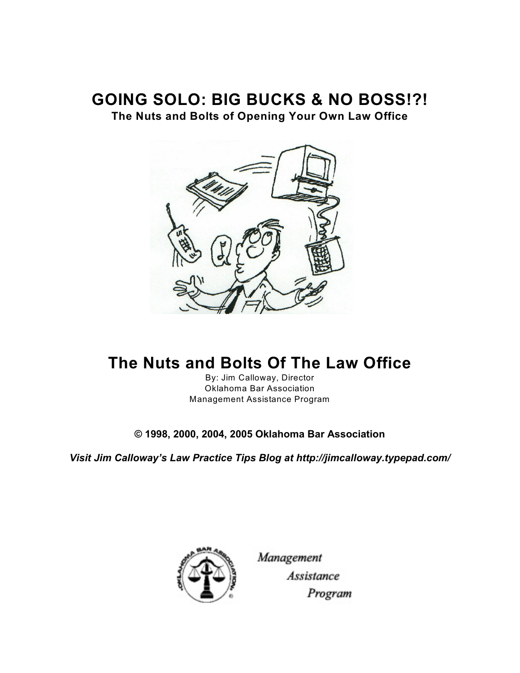# **GOING SOLO: BIG BUCKS & NO BOSS!?!**

**The Nuts and Bolts of Opening Your Own Law Office**



# **The Nuts and Bolts Of The Law Office**

By: Jim Calloway, Director Oklahoma Bar Association Management Assistance Program

**© 1998, 2000, 2004, 2005 Oklahoma Bar Association**

*Visit Jim Calloway's Law Practice Tips Blog at http://jimcalloway.typepad.com/*



Management **Assistance** Program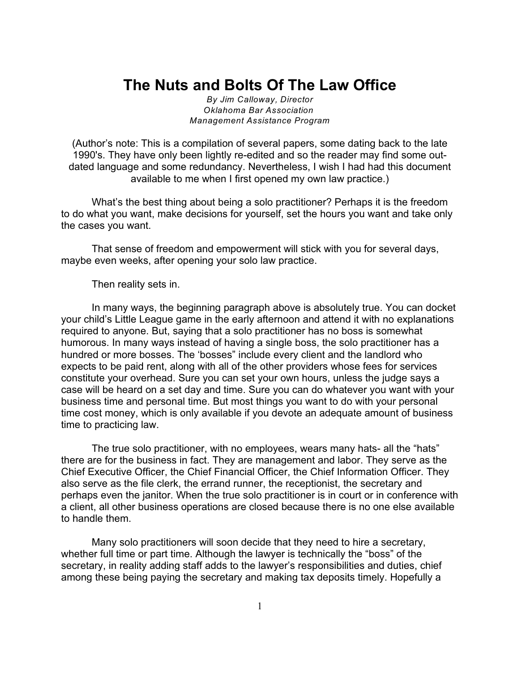# **The Nuts and Bolts Of The Law Office**

*By Jim Calloway, Director Oklahoma Bar Association Management Assistance Program*

(Author's note: This is a compilation of several papers, some dating back to the late 1990's. They have only been lightly re-edited and so the reader may find some outdated language and some redundancy. Nevertheless, I wish I had had this document available to me when I first opened my own law practice.)

What's the best thing about being a solo practitioner? Perhaps it is the freedom to do what you want, make decisions for yourself, set the hours you want and take only the cases you want.

That sense of freedom and empowerment will stick with you for several days, maybe even weeks, after opening your solo law practice.

Then reality sets in.

In many ways, the beginning paragraph above is absolutely true. You can docket your child's Little League game in the early afternoon and attend it with no explanations required to anyone. But, saying that a solo practitioner has no boss is somewhat humorous. In many ways instead of having a single boss, the solo practitioner has a hundred or more bosses. The 'bosses" include every client and the landlord who expects to be paid rent, along with all of the other providers whose fees for services constitute your overhead. Sure you can set your own hours, unless the judge says a case will be heard on a set day and time. Sure you can do whatever you want with your business time and personal time. But most things you want to do with your personal time cost money, which is only available if you devote an adequate amount of business time to practicing law.

The true solo practitioner, with no employees, wears many hats- all the "hats" there are for the business in fact. They are management and labor. They serve as the Chief Executive Officer, the Chief Financial Officer, the Chief Information Officer. They also serve as the file clerk, the errand runner, the receptionist, the secretary and perhaps even the janitor. When the true solo practitioner is in court or in conference with a client, all other business operations are closed because there is no one else available to handle them.

Many solo practitioners will soon decide that they need to hire a secretary, whether full time or part time. Although the lawyer is technically the "boss" of the secretary, in reality adding staff adds to the lawyer's responsibilities and duties, chief among these being paying the secretary and making tax deposits timely. Hopefully a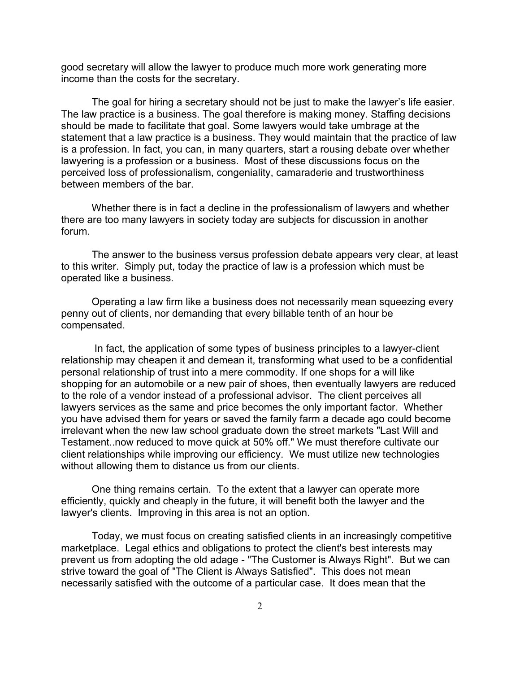good secretary will allow the lawyer to produce much more work generating more income than the costs for the secretary.

The goal for hiring a secretary should not be just to make the lawyer's life easier. The law practice is a business. The goal therefore is making money. Staffing decisions should be made to facilitate that goal. Some lawyers would take umbrage at the statement that a law practice is a business. They would maintain that the practice of law is a profession. In fact, you can, in many quarters, start a rousing debate over whether lawyering is a profession or a business. Most of these discussions focus on the perceived loss of professionalism, congeniality, camaraderie and trustworthiness between members of the bar.

 Whether there is in fact a decline in the professionalism of lawyers and whether there are too many lawyers in society today are subjects for discussion in another forum.

The answer to the business versus profession debate appears very clear, at least to this writer. Simply put, today the practice of law is a profession which must be operated like a business.

Operating a law firm like a business does not necessarily mean squeezing every penny out of clients, nor demanding that every billable tenth of an hour be compensated.

 In fact, the application of some types of business principles to a lawyer-client relationship may cheapen it and demean it, transforming what used to be a confidential personal relationship of trust into a mere commodity. If one shops for a will like shopping for an automobile or a new pair of shoes, then eventually lawyers are reduced to the role of a vendor instead of a professional advisor. The client perceives all lawyers services as the same and price becomes the only important factor. Whether you have advised them for years or saved the family farm a decade ago could become irrelevant when the new law school graduate down the street markets "Last Will and Testament..now reduced to move quick at 50% off." We must therefore cultivate our client relationships while improving our efficiency. We must utilize new technologies without allowing them to distance us from our clients.

One thing remains certain. To the extent that a lawyer can operate more efficiently, quickly and cheaply in the future, it will benefit both the lawyer and the lawyer's clients. Improving in this area is not an option.

Today, we must focus on creating satisfied clients in an increasingly competitive marketplace. Legal ethics and obligations to protect the client's best interests may prevent us from adopting the old adage - "The Customer is Always Right". But we can strive toward the goal of "The Client is Always Satisfied". This does not mean necessarily satisfied with the outcome of a particular case. It does mean that the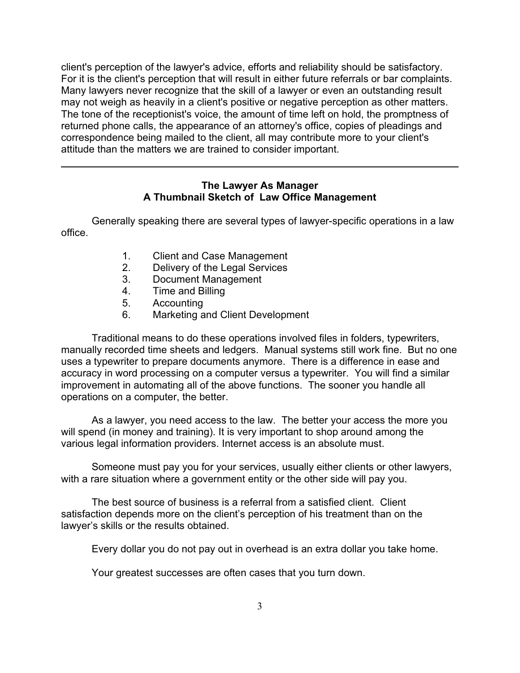client's perception of the lawyer's advice, efforts and reliability should be satisfactory. For it is the client's perception that will result in either future referrals or bar complaints. Many lawyers never recognize that the skill of a lawyer or even an outstanding result may not weigh as heavily in a client's positive or negative perception as other matters. The tone of the receptionist's voice, the amount of time left on hold, the promptness of returned phone calls, the appearance of an attorney's office, copies of pleadings and correspondence being mailed to the client, all may contribute more to your client's attitude than the matters we are trained to consider important.

#### **The Lawyer As Manager A Thumbnail Sketch of Law Office Management**

Generally speaking there are several types of lawyer-specific operations in a law office.

- 1. Client and Case Management
- 2. Delivery of the Legal Services
- 3. Document Management
- 4. Time and Billing
- 5. Accounting
- 6. Marketing and Client Development

Traditional means to do these operations involved files in folders, typewriters, manually recorded time sheets and ledgers. Manual systems still work fine. But no one uses a typewriter to prepare documents anymore. There is a difference in ease and accuracy in word processing on a computer versus a typewriter. You will find a similar improvement in automating all of the above functions. The sooner you handle all operations on a computer, the better.

As a lawyer, you need access to the law. The better your access the more you will spend (in money and training). It is very important to shop around among the various legal information providers. Internet access is an absolute must.

Someone must pay you for your services, usually either clients or other lawyers, with a rare situation where a government entity or the other side will pay you.

The best source of business is a referral from a satisfied client. Client satisfaction depends more on the client's perception of his treatment than on the lawyer's skills or the results obtained.

Every dollar you do not pay out in overhead is an extra dollar you take home.

Your greatest successes are often cases that you turn down.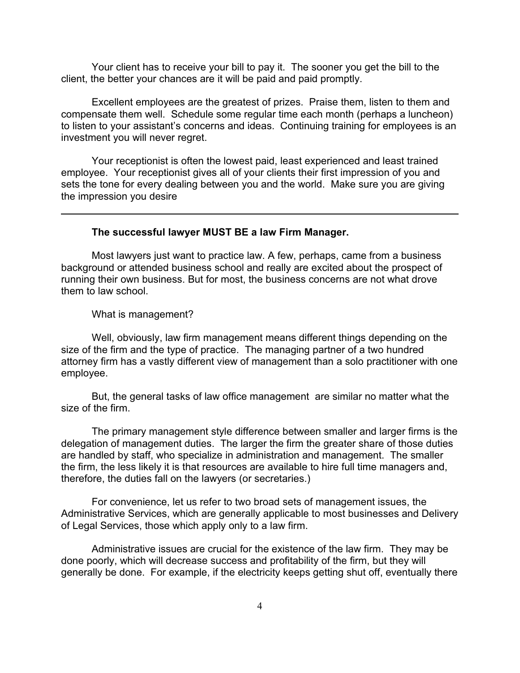Your client has to receive your bill to pay it. The sooner you get the bill to the client, the better your chances are it will be paid and paid promptly.

Excellent employees are the greatest of prizes. Praise them, listen to them and compensate them well. Schedule some regular time each month (perhaps a luncheon) to listen to your assistant's concerns and ideas. Continuing training for employees is an investment you will never regret.

Your receptionist is often the lowest paid, least experienced and least trained employee. Your receptionist gives all of your clients their first impression of you and sets the tone for every dealing between you and the world. Make sure you are giving the impression you desire

#### **The successful lawyer MUST BE a law Firm Manager.**

Most lawyers just want to practice law. A few, perhaps, came from a business background or attended business school and really are excited about the prospect of running their own business. But for most, the business concerns are not what drove them to law school.

What is management?

Well, obviously, law firm management means different things depending on the size of the firm and the type of practice. The managing partner of a two hundred attorney firm has a vastly different view of management than a solo practitioner with one employee.

But, the general tasks of law office management are similar no matter what the size of the firm.

The primary management style difference between smaller and larger firms is the delegation of management duties. The larger the firm the greater share of those duties are handled by staff, who specialize in administration and management. The smaller the firm, the less likely it is that resources are available to hire full time managers and, therefore, the duties fall on the lawyers (or secretaries.)

For convenience, let us refer to two broad sets of management issues, the Administrative Services, which are generally applicable to most businesses and Delivery of Legal Services, those which apply only to a law firm.

Administrative issues are crucial for the existence of the law firm. They may be done poorly, which will decrease success and profitability of the firm, but they will generally be done. For example, if the electricity keeps getting shut off, eventually there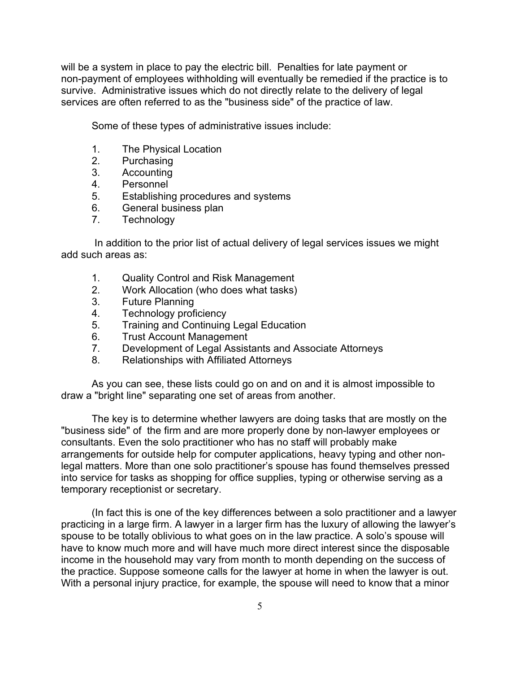will be a system in place to pay the electric bill. Penalties for late payment or non-payment of employees withholding will eventually be remedied if the practice is to survive. Administrative issues which do not directly relate to the delivery of legal services are often referred to as the "business side" of the practice of law.

Some of these types of administrative issues include:

- 1. The Physical Location
- 2. Purchasing
- 3. Accounting
- 4. Personnel
- 5. Establishing procedures and systems
- 6. General business plan
- 7. Technology

 In addition to the prior list of actual delivery of legal services issues we might add such areas as:

- 1. Quality Control and Risk Management
- 2. Work Allocation (who does what tasks)
- 3. Future Planning
- 4. Technology proficiency
- 5. Training and Continuing Legal Education
- 6. Trust Account Management
- 7. Development of Legal Assistants and Associate Attorneys
- 8. Relationships with Affiliated Attorneys

As you can see, these lists could go on and on and it is almost impossible to draw a "bright line" separating one set of areas from another.

The key is to determine whether lawyers are doing tasks that are mostly on the "business side" of the firm and are more properly done by non-lawyer employees or consultants. Even the solo practitioner who has no staff will probably make arrangements for outside help for computer applications, heavy typing and other nonlegal matters. More than one solo practitioner's spouse has found themselves pressed into service for tasks as shopping for office supplies, typing or otherwise serving as a temporary receptionist or secretary.

(In fact this is one of the key differences between a solo practitioner and a lawyer practicing in a large firm. A lawyer in a larger firm has the luxury of allowing the lawyer's spouse to be totally oblivious to what goes on in the law practice. A solo's spouse will have to know much more and will have much more direct interest since the disposable income in the household may vary from month to month depending on the success of the practice. Suppose someone calls for the lawyer at home in when the lawyer is out. With a personal injury practice, for example, the spouse will need to know that a minor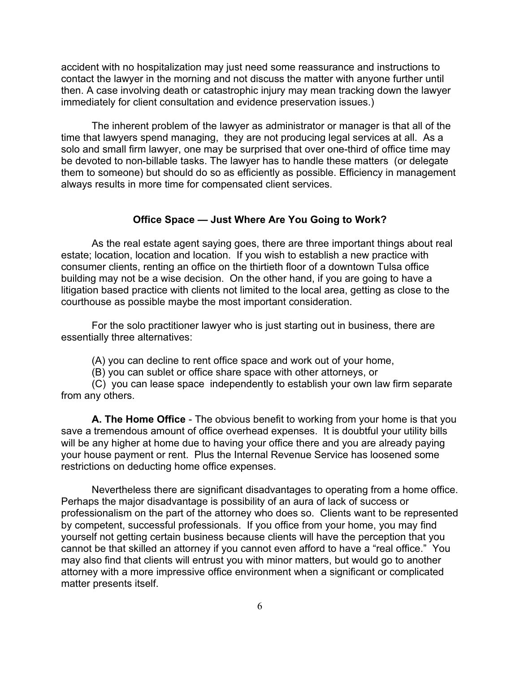accident with no hospitalization may just need some reassurance and instructions to contact the lawyer in the morning and not discuss the matter with anyone further until then. A case involving death or catastrophic injury may mean tracking down the lawyer immediately for client consultation and evidence preservation issues.)

The inherent problem of the lawyer as administrator or manager is that all of the time that lawyers spend managing, they are not producing legal services at all. As a solo and small firm lawyer, one may be surprised that over one-third of office time may be devoted to non-billable tasks. The lawyer has to handle these matters (or delegate them to someone) but should do so as efficiently as possible. Efficiency in management always results in more time for compensated client services.

#### **Office Space — Just Where Are You Going to Work?**

As the real estate agent saying goes, there are three important things about real estate; location, location and location. If you wish to establish a new practice with consumer clients, renting an office on the thirtieth floor of a downtown Tulsa office building may not be a wise decision. On the other hand, if you are going to have a litigation based practice with clients not limited to the local area, getting as close to the courthouse as possible maybe the most important consideration.

For the solo practitioner lawyer who is just starting out in business, there are essentially three alternatives:

(A) you can decline to rent office space and work out of your home,

(B) you can sublet or office share space with other attorneys, or

(C) you can lease space independently to establish your own law firm separate from any others.

**A. The Home Office** - The obvious benefit to working from your home is that you save a tremendous amount of office overhead expenses. It is doubtful your utility bills will be any higher at home due to having your office there and you are already paying your house payment or rent. Plus the Internal Revenue Service has loosened some restrictions on deducting home office expenses.

Nevertheless there are significant disadvantages to operating from a home office. Perhaps the major disadvantage is possibility of an aura of lack of success or professionalism on the part of the attorney who does so. Clients want to be represented by competent, successful professionals. If you office from your home, you may find yourself not getting certain business because clients will have the perception that you cannot be that skilled an attorney if you cannot even afford to have a "real office." You may also find that clients will entrust you with minor matters, but would go to another attorney with a more impressive office environment when a significant or complicated matter presents itself.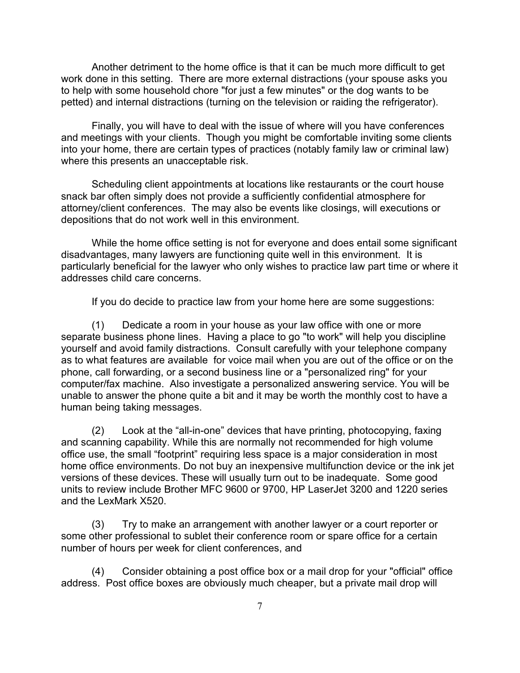Another detriment to the home office is that it can be much more difficult to get work done in this setting. There are more external distractions (your spouse asks you to help with some household chore "for just a few minutes" or the dog wants to be petted) and internal distractions (turning on the television or raiding the refrigerator).

Finally, you will have to deal with the issue of where will you have conferences and meetings with your clients. Though you might be comfortable inviting some clients into your home, there are certain types of practices (notably family law or criminal law) where this presents an unacceptable risk.

Scheduling client appointments at locations like restaurants or the court house snack bar often simply does not provide a sufficiently confidential atmosphere for attorney/client conferences. The may also be events like closings, will executions or depositions that do not work well in this environment.

While the home office setting is not for everyone and does entail some significant disadvantages, many lawyers are functioning quite well in this environment. It is particularly beneficial for the lawyer who only wishes to practice law part time or where it addresses child care concerns.

If you do decide to practice law from your home here are some suggestions:

(1) Dedicate a room in your house as your law office with one or more separate business phone lines. Having a place to go "to work" will help you discipline yourself and avoid family distractions. Consult carefully with your telephone company as to what features are available for voice mail when you are out of the office or on the phone, call forwarding, or a second business line or a "personalized ring" for your computer/fax machine. Also investigate a personalized answering service. You will be unable to answer the phone quite a bit and it may be worth the monthly cost to have a human being taking messages.

(2) Look at the "all-in-one" devices that have printing, photocopying, faxing and scanning capability. While this are normally not recommended for high volume office use, the small "footprint" requiring less space is a major consideration in most home office environments. Do not buy an inexpensive multifunction device or the ink jet versions of these devices. These will usually turn out to be inadequate. Some good units to review include Brother MFC 9600 or 9700, HP LaserJet 3200 and 1220 series and the LexMark X520.

(3) Try to make an arrangement with another lawyer or a court reporter or some other professional to sublet their conference room or spare office for a certain number of hours per week for client conferences, and

(4) Consider obtaining a post office box or a mail drop for your "official" office address. Post office boxes are obviously much cheaper, but a private mail drop will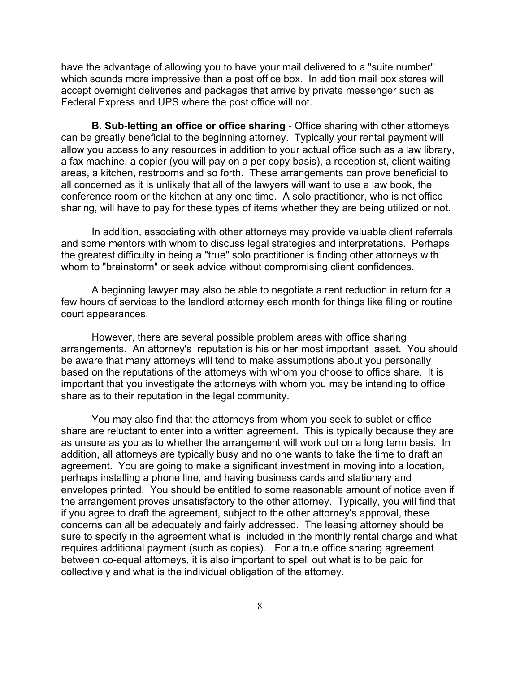have the advantage of allowing you to have your mail delivered to a "suite number" which sounds more impressive than a post office box. In addition mail box stores will accept overnight deliveries and packages that arrive by private messenger such as Federal Express and UPS where the post office will not.

**B. Sub-letting an office or office sharing** - Office sharing with other attorneys can be greatly beneficial to the beginning attorney. Typically your rental payment will allow you access to any resources in addition to your actual office such as a law library, a fax machine, a copier (you will pay on a per copy basis), a receptionist, client waiting areas, a kitchen, restrooms and so forth. These arrangements can prove beneficial to all concerned as it is unlikely that all of the lawyers will want to use a law book, the conference room or the kitchen at any one time. A solo practitioner, who is not office sharing, will have to pay for these types of items whether they are being utilized or not.

In addition, associating with other attorneys may provide valuable client referrals and some mentors with whom to discuss legal strategies and interpretations. Perhaps the greatest difficulty in being a "true" solo practitioner is finding other attorneys with whom to "brainstorm" or seek advice without compromising client confidences.

A beginning lawyer may also be able to negotiate a rent reduction in return for a few hours of services to the landlord attorney each month for things like filing or routine court appearances.

However, there are several possible problem areas with office sharing arrangements. An attorney's reputation is his or her most important asset. You should be aware that many attorneys will tend to make assumptions about you personally based on the reputations of the attorneys with whom you choose to office share. It is important that you investigate the attorneys with whom you may be intending to office share as to their reputation in the legal community.

You may also find that the attorneys from whom you seek to sublet or office share are reluctant to enter into a written agreement. This is typically because they are as unsure as you as to whether the arrangement will work out on a long term basis. In addition, all attorneys are typically busy and no one wants to take the time to draft an agreement. You are going to make a significant investment in moving into a location, perhaps installing a phone line, and having business cards and stationary and envelopes printed. You should be entitled to some reasonable amount of notice even if the arrangement proves unsatisfactory to the other attorney. Typically, you will find that if you agree to draft the agreement, subject to the other attorney's approval, these concerns can all be adequately and fairly addressed. The leasing attorney should be sure to specify in the agreement what is included in the monthly rental charge and what requires additional payment (such as copies). For a true office sharing agreement between co-equal attorneys, it is also important to spell out what is to be paid for collectively and what is the individual obligation of the attorney.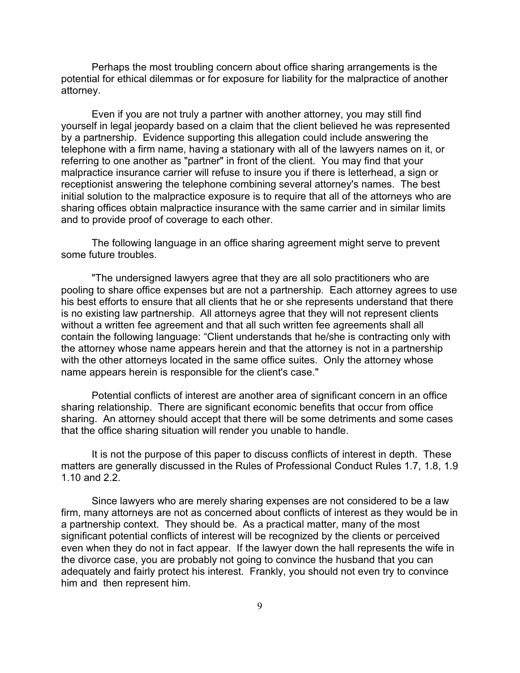Perhaps the most troubling concern about office sharing arrangements is the potential for ethical dilemmas or for exposure for liability for the malpractice of another attorney.

Even if you are not truly a partner with another attorney, you may still find yourself in legal jeopardy based on a claim that the client believed he was represented by a partnership. Evidence supporting this allegation could include answering the telephone with a firm name, having a stationary with all of the lawyers names on it, or referring to one another as "partner" in front of the client. You may find that your malpractice insurance carrier will refuse to insure you if there is letterhead, a sign or receptionist answering the telephone combining several attorney's names. The best initial solution to the malpractice exposure is to require that all of the attorneys who are sharing offices obtain malpractice insurance with the same carrier and in similar limits and to provide proof of coverage to each other.

The following language in an office sharing agreement might serve to prevent some future troubles.

"The undersigned lawyers agree that they are all solo practitioners who are pooling to share office expenses but are not a partnership. Each attorney agrees to use his best efforts to ensure that all clients that he or she represents understand that there is no existing law partnership. All attorneys agree that they will not represent clients without a written fee agreement and that all such written fee agreements shall all contain the following language: "Client understands that he/she is contracting only with the attorney whose name appears herein and that the attorney is not in a partnership with the other attorneys located in the same office suites. Only the attorney whose name appears herein is responsible for the client's case."

Potential conflicts of interest are another area of significant concern in an office sharing relationship. There are significant economic benefits that occur from office sharing. An attorney should accept that there will be some detriments and some cases that the office sharing situation will render you unable to handle.

It is not the purpose of this paper to discuss conflicts of interest in depth. These matters are generally discussed in the Rules of Professional Conduct Rules 1.7, 1.8, 1.9 1.10 and 2.2.

Since lawyers who are merely sharing expenses are not considered to be a law firm, many attorneys are not as concerned about conflicts of interest as they would be in a partnership context. They should be. As a practical matter, many of the most significant potential conflicts of interest will be recognized by the clients or perceived even when they do not in fact appear. If the lawyer down the hall represents the wife in the divorce case, you are probably not going to convince the husband that you can adequately and fairly protect his interest. Frankly, you should not even try to convince him and then represent him.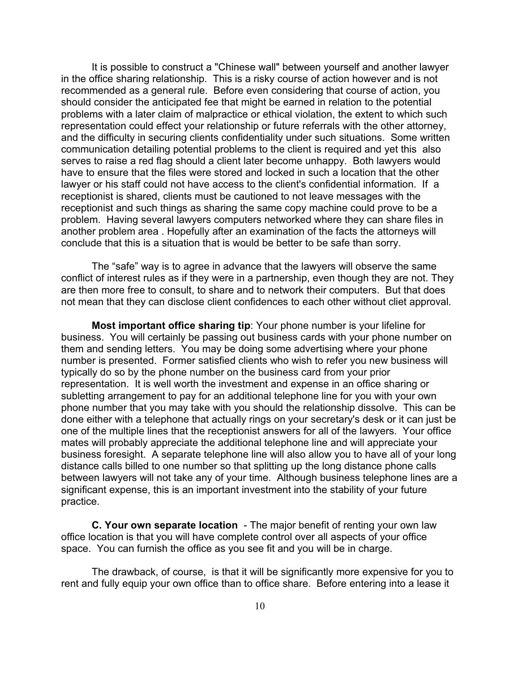It is possible to construct a "Chinese wall" between yourself and another lawyer in the office sharing relationship. This is a risky course of action however and is not recommended as a general rule. Before even considering that course of action, you should consider the anticipated fee that might be earned in relation to the potential problems with a later claim of malpractice or ethical violation, the extent to which such representation could effect your relationship or future referrals with the other attorney, and the difficulty in securing clients confidentiality under such situations. Some written communication detailing potential problems to the client is required and yet this also serves to raise a red flag should a client later become unhappy. Both lawyers would have to ensure that the files were stored and locked in such a location that the other lawyer or his staff could not have access to the client's confidential information. If a receptionist is shared, clients must be cautioned to not leave messages with the receptionist and such things as sharing the same copy machine could prove to be a problem. Having several lawyers computers networked where they can share files in another problem area . Hopefully after an examination of the facts the attorneys will conclude that this is a situation that is would be better to be safe than sorry.

The "safe" way is to agree in advance that the lawyers will observe the same conflict of interest rules as if they were in a partnership, even though they are not. They are then more free to consult, to share and to network their computers. But that does not mean that they can disclose client confidences to each other without cliet approval.

**Most important office sharing tip**: Your phone number is your lifeline for business. You will certainly be passing out business cards with your phone number on them and sending letters. You may be doing some advertising where your phone number is presented. Former satisfied clients who wish to refer you new business will typically do so by the phone number on the business card from your prior representation. It is well worth the investment and expense in an office sharing or subletting arrangement to pay for an additional telephone line for you with your own phone number that you may take with you should the relationship dissolve. This can be done either with a telephone that actually rings on your secretary's desk or it can just be one of the multiple lines that the receptionist answers for all of the lawyers. Your office mates will probably appreciate the additional telephone line and will appreciate your business foresight. A separate telephone line will also allow you to have all of your long distance calls billed to one number so that splitting up the long distance phone calls between lawyers will not take any of your time. Although business telephone lines are a significant expense, this is an important investment into the stability of your future practice.

**C. Your own separate location** - The major benefit of renting your own law office location is that you will have complete control over all aspects of your office space. You can furnish the office as you see fit and you will be in charge.

The drawback, of course, is that it will be significantly more expensive for you to rent and fully equip your own office than to office share. Before entering into a lease it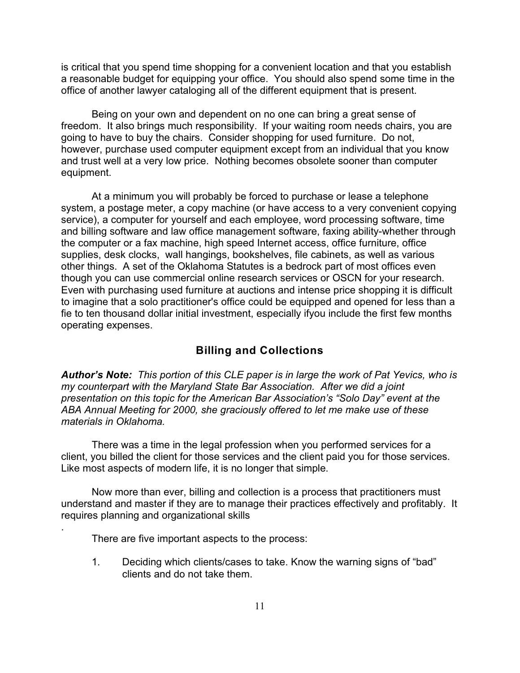is critical that you spend time shopping for a convenient location and that you establish a reasonable budget for equipping your office. You should also spend some time in the office of another lawyer cataloging all of the different equipment that is present.

Being on your own and dependent on no one can bring a great sense of freedom. It also brings much responsibility. If your waiting room needs chairs, you are going to have to buy the chairs. Consider shopping for used furniture. Do not, however, purchase used computer equipment except from an individual that you know and trust well at a very low price. Nothing becomes obsolete sooner than computer equipment.

At a minimum you will probably be forced to purchase or lease a telephone system, a postage meter, a copy machine (or have access to a very convenient copying service), a computer for yourself and each employee, word processing software, time and billing software and law office management software, faxing ability-whether through the computer or a fax machine, high speed Internet access, office furniture, office supplies, desk clocks, wall hangings, bookshelves, file cabinets, as well as various other things. A set of the Oklahoma Statutes is a bedrock part of most offices even though you can use commercial online research services or OSCN for your research. Even with purchasing used furniture at auctions and intense price shopping it is difficult to imagine that a solo practitioner's office could be equipped and opened for less than a fie to ten thousand dollar initial investment, especially ifyou include the first few months operating expenses.

#### **Billing and Collections**

*Author's Note: This portion of this CLE paper is in large the work of Pat Yevics, who is my counterpart with the Maryland State Bar Association. After we did a joint presentation on this topic for the American Bar Association's "Solo Day" event at the ABA Annual Meeting for 2000, she graciously offered to let me make use of these materials in Oklahoma.*

There was a time in the legal profession when you performed services for a client, you billed the client for those services and the client paid you for those services. Like most aspects of modern life, it is no longer that simple.

Now more than ever, billing and collection is a process that practitioners must understand and master if they are to manage their practices effectively and profitably. It requires planning and organizational skills

There are five important aspects to the process:

.

1. Deciding which clients/cases to take. Know the warning signs of "bad" clients and do not take them.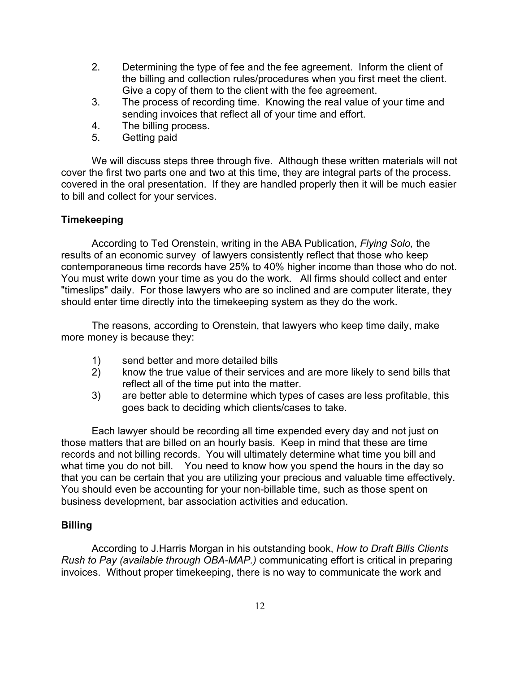- 2. Determining the type of fee and the fee agreement. Inform the client of the billing and collection rules/procedures when you first meet the client. Give a copy of them to the client with the fee agreement.
- 3. The process of recording time. Knowing the real value of your time and sending invoices that reflect all of your time and effort.
- 4. The billing process.
- 5. Getting paid

We will discuss steps three through five. Although these written materials will not cover the first two parts one and two at this time, they are integral parts of the process. covered in the oral presentation. If they are handled properly then it will be much easier to bill and collect for your services.

### **Timekeeping**

According to Ted Orenstein, writing in the ABA Publication, *Flying Solo,* the results of an economic survey of lawyers consistently reflect that those who keep contemporaneous time records have 25% to 40% higher income than those who do not. You must write down your time as you do the work. All firms should collect and enter "timeslips" daily. For those lawyers who are so inclined and are computer literate, they should enter time directly into the timekeeping system as they do the work.

The reasons, according to Orenstein, that lawyers who keep time daily, make more money is because they:

- 1) send better and more detailed bills
- 2) know the true value of their services and are more likely to send bills that reflect all of the time put into the matter.
- 3) are better able to determine which types of cases are less profitable, this goes back to deciding which clients/cases to take.

Each lawyer should be recording all time expended every day and not just on those matters that are billed on an hourly basis. Keep in mind that these are time records and not billing records. You will ultimately determine what time you bill and what time you do not bill. You need to know how you spend the hours in the day so that you can be certain that you are utilizing your precious and valuable time effectively. You should even be accounting for your non-billable time, such as those spent on business development, bar association activities and education.

#### **Billing**

According to J.Harris Morgan in his outstanding book, *How to Draft Bills Clients Rush to Pay (available through OBA-MAP.)* communicating effort is critical in preparing invoices. Without proper timekeeping, there is no way to communicate the work and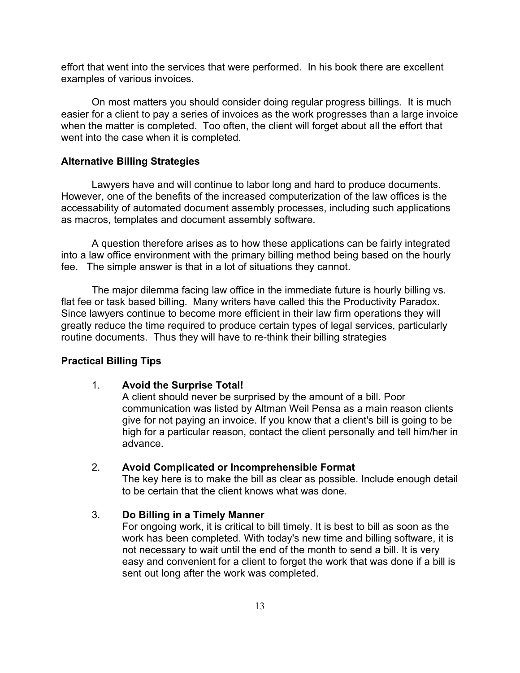effort that went into the services that were performed. In his book there are excellent examples of various invoices.

On most matters you should consider doing regular progress billings. It is much easier for a client to pay a series of invoices as the work progresses than a large invoice when the matter is completed. Too often, the client will forget about all the effort that went into the case when it is completed.

#### **Alternative Billing Strategies**

Lawyers have and will continue to labor long and hard to produce documents. However, one of the benefits of the increased computerization of the law offices is the accessability of automated document assembly processes, including such applications as macros, templates and document assembly software.

A question therefore arises as to how these applications can be fairly integrated into a law office environment with the primary billing method being based on the hourly fee. The simple answer is that in a lot of situations they cannot.

The major dilemma facing law office in the immediate future is hourly billing vs. flat fee or task based billing. Many writers have called this the Productivity Paradox. Since lawyers continue to become more efficient in their law firm operations they will greatly reduce the time required to produce certain types of legal services, particularly routine documents. Thus they will have to re-think their billing strategies

#### **Practical Billing Tips**

#### 1. **Avoid the Surprise Total!**

A client should never be surprised by the amount of a bill. Poor communication was listed by Altman Weil Pensa as a main reason clients give for not paying an invoice. If you know that a client's bill is going to be high for a particular reason, contact the client personally and tell him/her in advance.

#### 2. **Avoid Complicated or Incomprehensible Format**

The key here is to make the bill as clear as possible. Include enough detail to be certain that the client knows what was done.

#### 3. **Do Billing in a Timely Manner**

For ongoing work, it is critical to bill timely. It is best to bill as soon as the work has been completed. With today's new time and billing software, it is not necessary to wait until the end of the month to send a bill. It is very easy and convenient for a client to forget the work that was done if a bill is sent out long after the work was completed.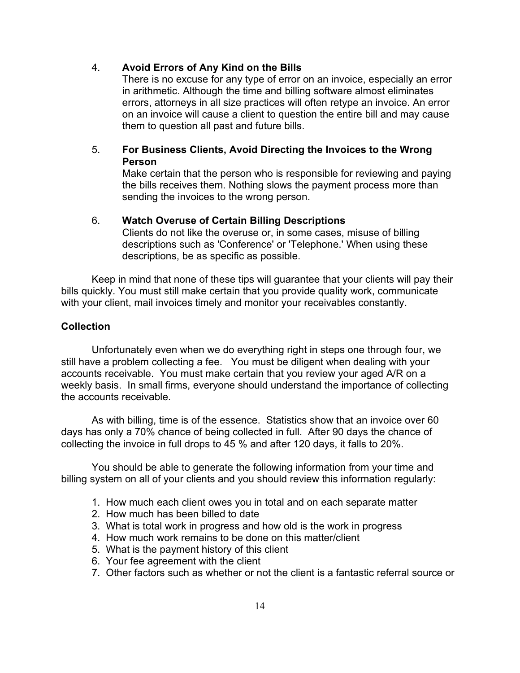#### 4. **Avoid Errors of Any Kind on the Bills**

There is no excuse for any type of error on an invoice, especially an error in arithmetic. Although the time and billing software almost eliminates errors, attorneys in all size practices will often retype an invoice. An error on an invoice will cause a client to question the entire bill and may cause them to question all past and future bills.

### 5. **For Business Clients, Avoid Directing the Invoices to the Wrong Person**

Make certain that the person who is responsible for reviewing and paying the bills receives them. Nothing slows the payment process more than sending the invoices to the wrong person.

#### 6. **Watch Overuse of Certain Billing Descriptions**

Clients do not like the overuse or, in some cases, misuse of billing descriptions such as 'Conference' or 'Telephone.' When using these descriptions, be as specific as possible.

Keep in mind that none of these tips will guarantee that your clients will pay their bills quickly. You must still make certain that you provide quality work, communicate with your client, mail invoices timely and monitor your receivables constantly.

#### **Collection**

Unfortunately even when we do everything right in steps one through four, we still have a problem collecting a fee. You must be diligent when dealing with your accounts receivable. You must make certain that you review your aged A/R on a weekly basis. In small firms, everyone should understand the importance of collecting the accounts receivable.

As with billing, time is of the essence. Statistics show that an invoice over 60 days has only a 70% chance of being collected in full. After 90 days the chance of collecting the invoice in full drops to 45 % and after 120 days, it falls to 20%.

You should be able to generate the following information from your time and billing system on all of your clients and you should review this information regularly:

- 1. How much each client owes you in total and on each separate matter
- 2. How much has been billed to date
- 3. What is total work in progress and how old is the work in progress
- 4. How much work remains to be done on this matter/client
- 5. What is the payment history of this client
- 6. Your fee agreement with the client
- 7. Other factors such as whether or not the client is a fantastic referral source or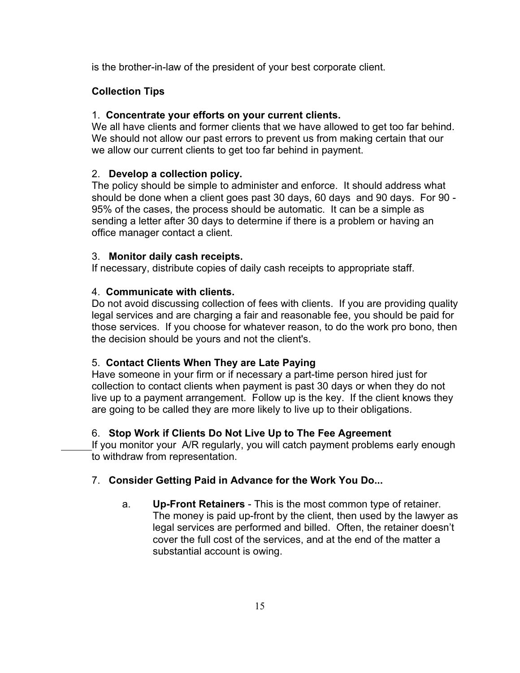is the brother-in-law of the president of your best corporate client.

# **Collection Tips**

## 1. **Concentrate your efforts on your current clients.**

We all have clients and former clients that we have allowed to get too far behind. We should not allow our past errors to prevent us from making certain that our we allow our current clients to get too far behind in payment.

# 2. **Develop a collection policy.**

The policy should be simple to administer and enforce. It should address what should be done when a client goes past 30 days, 60 days and 90 days. For 90 - 95% of the cases, the process should be automatic. It can be a simple as sending a letter after 30 days to determine if there is a problem or having an office manager contact a client.

### 3. **Monitor daily cash receipts.**

If necessary, distribute copies of daily cash receipts to appropriate staff.

# 4. **Communicate with clients.**

Do not avoid discussing collection of fees with clients. If you are providing quality legal services and are charging a fair and reasonable fee, you should be paid for those services. If you choose for whatever reason, to do the work pro bono, then the decision should be yours and not the client's.

# 5. **Contact Clients When They are Late Paying**

Have someone in your firm or if necessary a part-time person hired just for collection to contact clients when payment is past 30 days or when they do not live up to a payment arrangement. Follow up is the key. If the client knows they are going to be called they are more likely to live up to their obligations.

# 6. **Stop Work if Clients Do Not Live Up to The Fee Agreement**

If you monitor your A/R regularly, you will catch payment problems early enough to withdraw from representation.

# 7. **Consider Getting Paid in Advance for the Work You Do...**

a. **Up-Front Retainers** - This is the most common type of retainer. The money is paid up-front by the client, then used by the lawyer as legal services are performed and billed. Often, the retainer doesn't cover the full cost of the services, and at the end of the matter a substantial account is owing.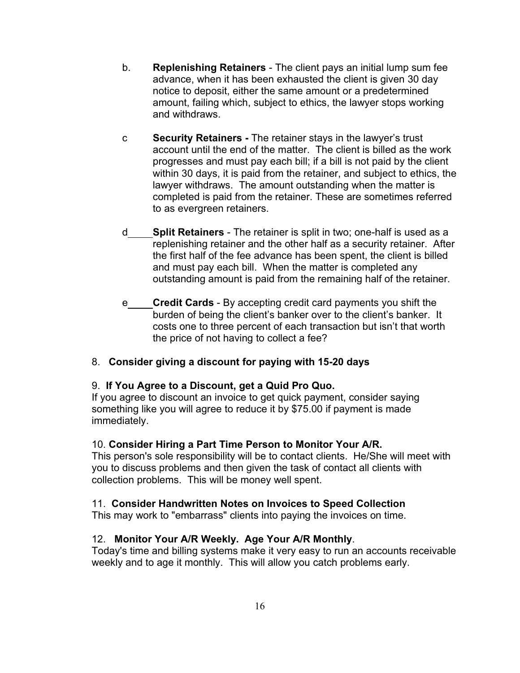- b. **Replenishing Retainers** The client pays an initial lump sum fee advance, when it has been exhausted the client is given 30 day notice to deposit, either the same amount or a predetermined amount, failing which, subject to ethics, the lawyer stops working and withdraws.
- c **Security Retainers** The retainer stays in the lawyer's trust account until the end of the matter. The client is billed as the work progresses and must pay each bill; if a bill is not paid by the client within 30 days, it is paid from the retainer, and subject to ethics, the lawyer withdraws. The amount outstanding when the matter is completed is paid from the retainer. These are sometimes referred to as evergreen retainers.
- d **Split Retainers** The retainer is split in two; one-half is used as a replenishing retainer and the other half as a security retainer. After the first half of the fee advance has been spent, the client is billed and must pay each bill. When the matter is completed any outstanding amount is paid from the remaining half of the retainer.
- e **Credit Cards** By accepting credit card payments you shift the burden of being the client's banker over to the client's banker. It costs one to three percent of each transaction but isn't that worth the price of not having to collect a fee?

# 8. **Consider giving a discount for paying with 15-20 days**

# 9. **If You Agree to a Discount, get a Quid Pro Quo.**

If you agree to discount an invoice to get quick payment, consider saying something like you will agree to reduce it by \$75.00 if payment is made immediately.

# 10. **Consider Hiring a Part Time Person to Monitor Your A/R.**

This person's sole responsibility will be to contact clients. He/She will meet with you to discuss problems and then given the task of contact all clients with collection problems. This will be money well spent.

# 11. **Consider Handwritten Notes on Invoices to Speed Collection**

This may work to "embarrass" clients into paying the invoices on time.

# 12. **Monitor Your A/R Weekly. Age Your A/R Monthly**.

Today's time and billing systems make it very easy to run an accounts receivable weekly and to age it monthly. This will allow you catch problems early.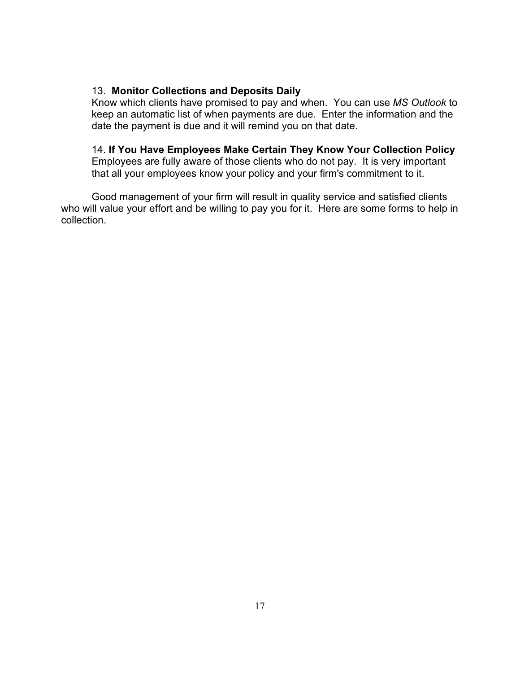### 13. **Monitor Collections and Deposits Daily**

Know which clients have promised to pay and when. You can use *MS Outlook* to keep an automatic list of when payments are due. Enter the information and the date the payment is due and it will remind you on that date.

## 14. **If You Have Employees Make Certain They Know Your Collection Policy**

Employees are fully aware of those clients who do not pay. It is very important that all your employees know your policy and your firm's commitment to it.

Good management of your firm will result in quality service and satisfied clients who will value your effort and be willing to pay you for it. Here are some forms to help in collection.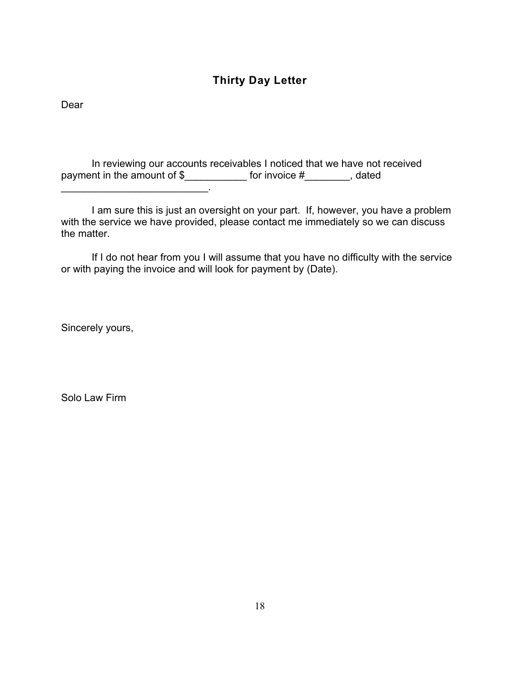# **Thirty Day Letter**

Dear

In reviewing our accounts receivables I noticed that we have not received payment in the amount of \$\_\_\_\_\_\_\_\_\_\_\_\_\_\_ for invoice #\_\_\_\_\_\_\_\_, dated

I am sure this is just an oversight on your part. If, however, you have a problem with the service we have provided, please contact me immediately so we can discuss the matter.

If I do not hear from you I will assume that you have no difficulty with the service or with paying the invoice and will look for payment by (Date).

Sincerely yours,

\_\_\_\_\_\_\_\_\_\_\_\_\_\_\_\_\_\_\_\_\_\_\_\_\_\_.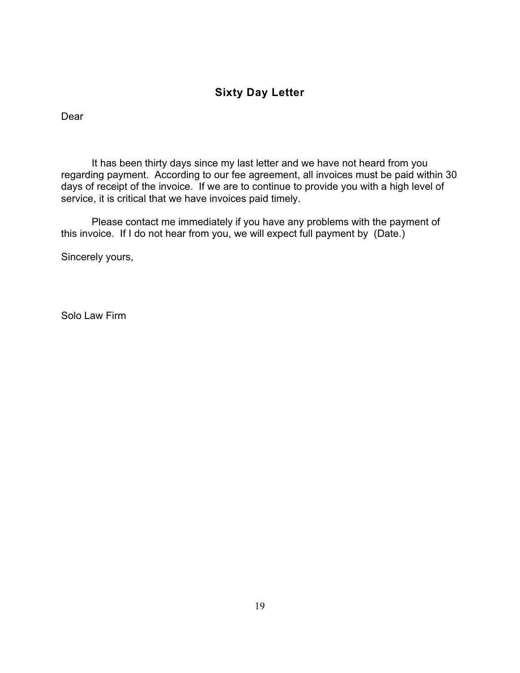# **Sixty Day Letter**

Dear

It has been thirty days since my last letter and we have not heard from you regarding payment. According to our fee agreement, all invoices must be paid within 30 days of receipt of the invoice. If we are to continue to provide you with a high level of service, it is critical that we have invoices paid timely.

Please contact me immediately if you have any problems with the payment of this invoice. If I do not hear from you, we will expect full payment by (Date.)

Sincerely yours,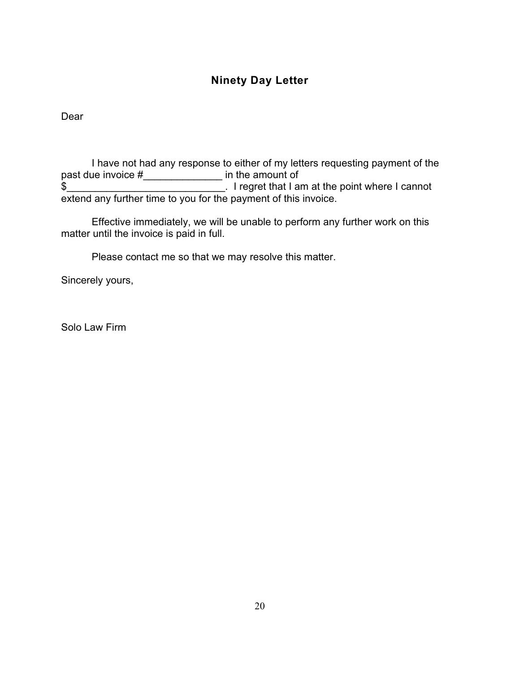# **Ninety Day Letter**

Dear

I have not had any response to either of my letters requesting payment of the past due invoice #\_\_\_\_\_\_\_\_\_\_\_\_\_\_\_ in the amount of \$\_\_\_\_\_\_\_\_\_\_\_\_\_\_\_\_\_\_\_\_\_\_\_\_\_\_\_\_. I regret that I am at the point where I cannot extend any further time to you for the payment of this invoice.

Effective immediately, we will be unable to perform any further work on this matter until the invoice is paid in full.

Please contact me so that we may resolve this matter.

Sincerely yours,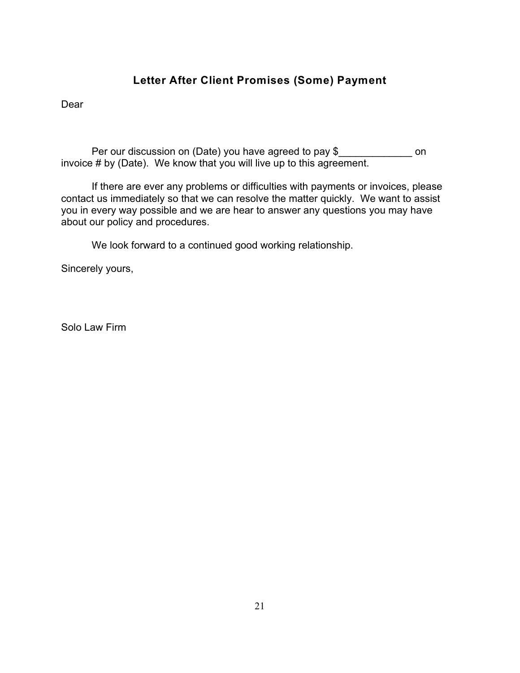# **Letter After Client Promises (Some) Payment**

Dear

Per our discussion on (Date) you have agreed to pay \$\_\_\_\_\_\_\_\_\_\_\_\_\_\_\_ on invoice # by (Date). We know that you will live up to this agreement.

If there are ever any problems or difficulties with payments or invoices, please contact us immediately so that we can resolve the matter quickly. We want to assist you in every way possible and we are hear to answer any questions you may have about our policy and procedures.

We look forward to a continued good working relationship.

Sincerely yours,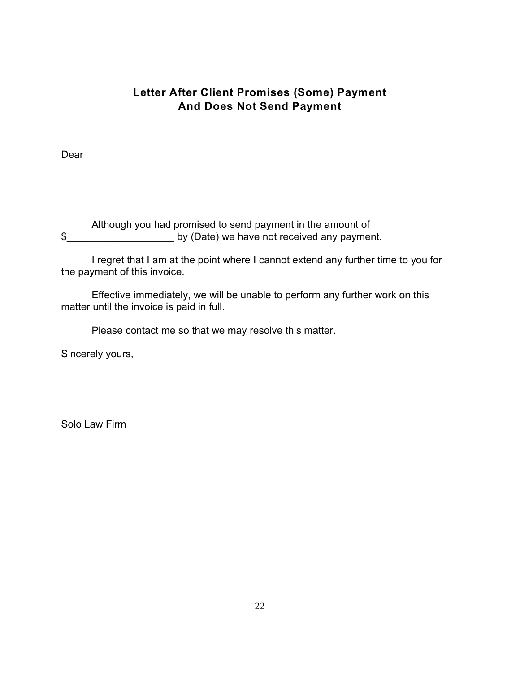# **Letter After Client Promises (Some) Payment And Does Not Send Payment**

Dear

Although you had promised to send payment in the amount of \$\_\_\_\_\_\_\_\_\_\_\_\_\_\_\_\_\_\_\_ by (Date) we have not received any payment.

I regret that I am at the point where I cannot extend any further time to you for the payment of this invoice.

Effective immediately, we will be unable to perform any further work on this matter until the invoice is paid in full.

Please contact me so that we may resolve this matter.

Sincerely yours,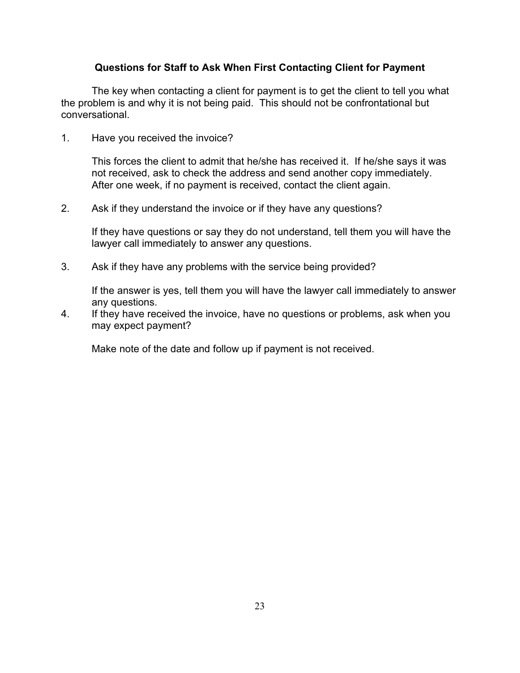## **Questions for Staff to Ask When First Contacting Client for Payment**

The key when contacting a client for payment is to get the client to tell you what the problem is and why it is not being paid. This should not be confrontational but conversational.

1. Have you received the invoice?

This forces the client to admit that he/she has received it. If he/she says it was not received, ask to check the address and send another copy immediately. After one week, if no payment is received, contact the client again.

2. Ask if they understand the invoice or if they have any questions?

If they have questions or say they do not understand, tell them you will have the lawyer call immediately to answer any questions.

3. Ask if they have any problems with the service being provided?

If the answer is yes, tell them you will have the lawyer call immediately to answer any questions.

4. If they have received the invoice, have no questions or problems, ask when you may expect payment?

Make note of the date and follow up if payment is not received.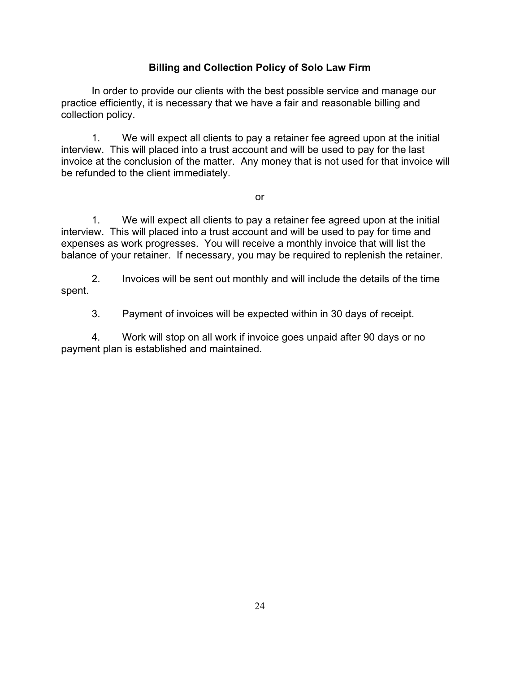# **Billing and Collection Policy of Solo Law Firm**

In order to provide our clients with the best possible service and manage our practice efficiently, it is necessary that we have a fair and reasonable billing and collection policy.

1. We will expect all clients to pay a retainer fee agreed upon at the initial interview. This will placed into a trust account and will be used to pay for the last invoice at the conclusion of the matter. Any money that is not used for that invoice will be refunded to the client immediately.

or

1. We will expect all clients to pay a retainer fee agreed upon at the initial interview. This will placed into a trust account and will be used to pay for time and expenses as work progresses. You will receive a monthly invoice that will list the balance of your retainer. If necessary, you may be required to replenish the retainer.

2. Invoices will be sent out monthly and will include the details of the time spent.

3. Payment of invoices will be expected within in 30 days of receipt.

4. Work will stop on all work if invoice goes unpaid after 90 days or no payment plan is established and maintained.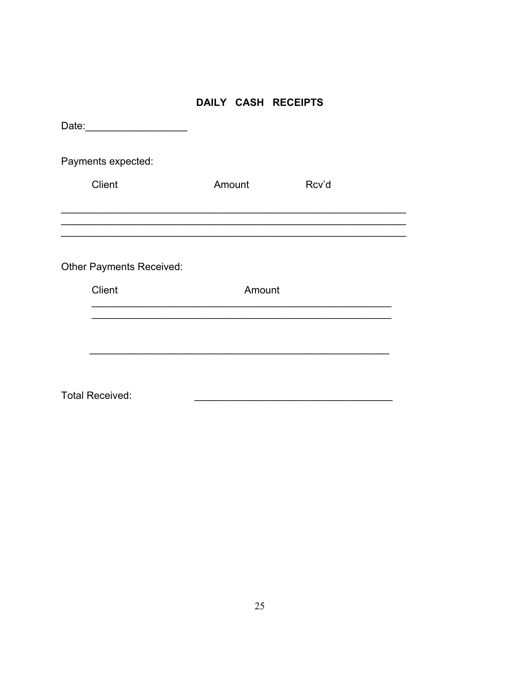# DAILY CASH RECEIPTS

| Date:                           |        |       |  |
|---------------------------------|--------|-------|--|
| Payments expected:              |        |       |  |
| <b>Client</b>                   | Amount | Rcv'd |  |
|                                 |        |       |  |
|                                 |        |       |  |
| <b>Other Payments Received:</b> |        |       |  |
| <b>Client</b>                   | Amount |       |  |
|                                 |        |       |  |
|                                 |        |       |  |
|                                 |        |       |  |
| <b>Total Received:</b>          |        |       |  |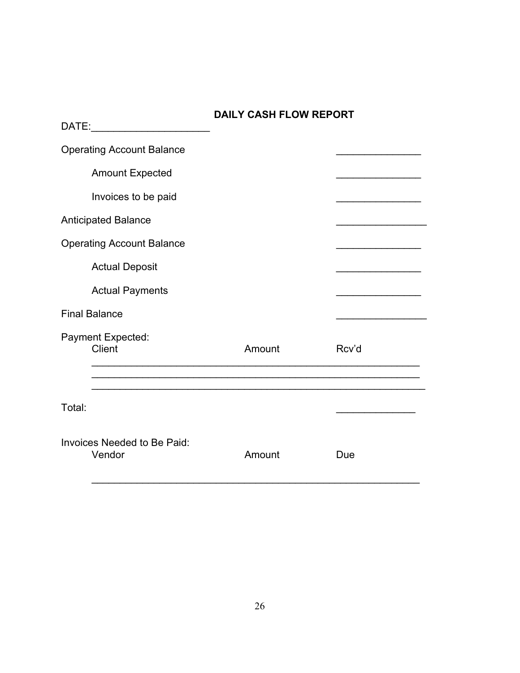| DATE: __________________________             | <b>DAILY CASH FLOW REPORT</b> |       |
|----------------------------------------------|-------------------------------|-------|
| <b>Operating Account Balance</b>             |                               |       |
| <b>Amount Expected</b>                       |                               |       |
| Invoices to be paid                          |                               |       |
| <b>Anticipated Balance</b>                   |                               |       |
| <b>Operating Account Balance</b>             |                               |       |
| <b>Actual Deposit</b>                        |                               |       |
| <b>Actual Payments</b>                       |                               |       |
| <b>Final Balance</b>                         |                               |       |
| Payment Expected:<br>Client                  | Amount                        | Rcv'd |
|                                              |                               |       |
| Total:                                       |                               |       |
| <b>Invoices Needed to Be Paid:</b><br>Vendor | Amount                        | Due   |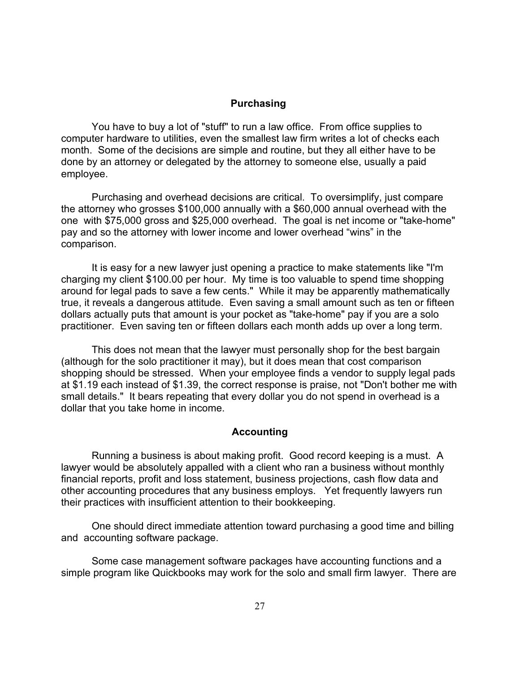#### **Purchasing**

You have to buy a lot of "stuff" to run a law office. From office supplies to computer hardware to utilities, even the smallest law firm writes a lot of checks each month. Some of the decisions are simple and routine, but they all either have to be done by an attorney or delegated by the attorney to someone else, usually a paid employee.

Purchasing and overhead decisions are critical. To oversimplify, just compare the attorney who grosses \$100,000 annually with a \$60,000 annual overhead with the one with \$75,000 gross and \$25,000 overhead. The goal is net income or "take-home" pay and so the attorney with lower income and lower overhead "wins" in the comparison.

It is easy for a new lawyer just opening a practice to make statements like "I'm charging my client \$100.00 per hour. My time is too valuable to spend time shopping around for legal pads to save a few cents." While it may be apparently mathematically true, it reveals a dangerous attitude. Even saving a small amount such as ten or fifteen dollars actually puts that amount is your pocket as "take-home" pay if you are a solo practitioner. Even saving ten or fifteen dollars each month adds up over a long term.

This does not mean that the lawyer must personally shop for the best bargain (although for the solo practitioner it may), but it does mean that cost comparison shopping should be stressed. When your employee finds a vendor to supply legal pads at \$1.19 each instead of \$1.39, the correct response is praise, not "Don't bother me with small details." It bears repeating that every dollar you do not spend in overhead is a dollar that you take home in income.

#### **Accounting**

Running a business is about making profit. Good record keeping is a must. A lawyer would be absolutely appalled with a client who ran a business without monthly financial reports, profit and loss statement, business projections, cash flow data and other accounting procedures that any business employs. Yet frequently lawyers run their practices with insufficient attention to their bookkeeping.

One should direct immediate attention toward purchasing a good time and billing and accounting software package.

Some case management software packages have accounting functions and a simple program like Quickbooks may work for the solo and small firm lawyer. There are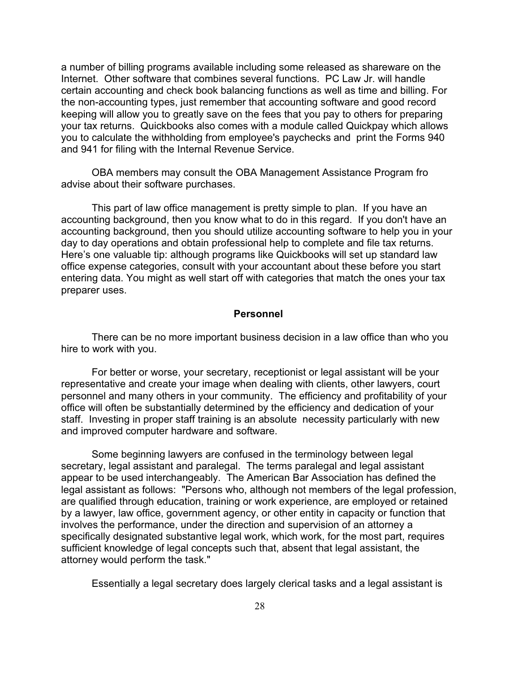a number of billing programs available including some released as shareware on the Internet. Other software that combines several functions. PC Law Jr. will handle certain accounting and check book balancing functions as well as time and billing. For the non-accounting types, just remember that accounting software and good record keeping will allow you to greatly save on the fees that you pay to others for preparing your tax returns. Quickbooks also comes with a module called Quickpay which allows you to calculate the withholding from employee's paychecks and print the Forms 940 and 941 for filing with the Internal Revenue Service.

OBA members may consult the OBA Management Assistance Program fro advise about their software purchases.

This part of law office management is pretty simple to plan. If you have an accounting background, then you know what to do in this regard. If you don't have an accounting background, then you should utilize accounting software to help you in your day to day operations and obtain professional help to complete and file tax returns. Here's one valuable tip: although programs like Quickbooks will set up standard law office expense categories, consult with your accountant about these before you start entering data. You might as well start off with categories that match the ones your tax preparer uses.

#### **Personnel**

There can be no more important business decision in a law office than who you hire to work with you.

For better or worse, your secretary, receptionist or legal assistant will be your representative and create your image when dealing with clients, other lawyers, court personnel and many others in your community. The efficiency and profitability of your office will often be substantially determined by the efficiency and dedication of your staff. Investing in proper staff training is an absolute necessity particularly with new and improved computer hardware and software.

Some beginning lawyers are confused in the terminology between legal secretary, legal assistant and paralegal. The terms paralegal and legal assistant appear to be used interchangeably. The American Bar Association has defined the legal assistant as follows: "Persons who, although not members of the legal profession, are qualified through education, training or work experience, are employed or retained by a lawyer, law office, government agency, or other entity in capacity or function that involves the performance, under the direction and supervision of an attorney a specifically designated substantive legal work, which work, for the most part, requires sufficient knowledge of legal concepts such that, absent that legal assistant, the attorney would perform the task."

Essentially a legal secretary does largely clerical tasks and a legal assistant is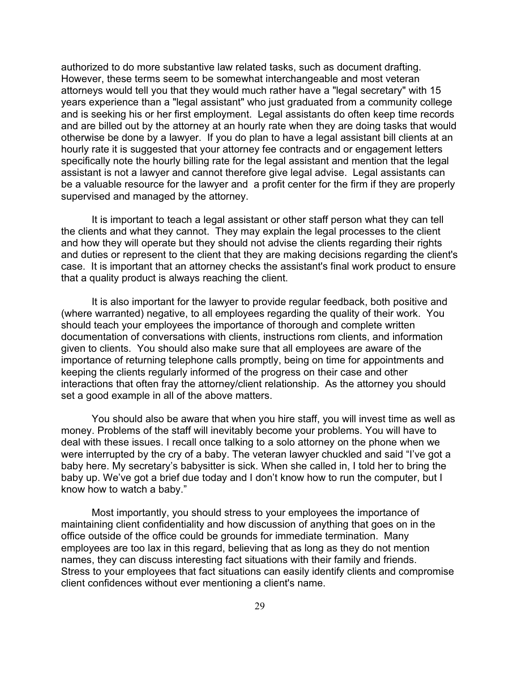authorized to do more substantive law related tasks, such as document drafting. However, these terms seem to be somewhat interchangeable and most veteran attorneys would tell you that they would much rather have a "legal secretary" with 15 years experience than a "legal assistant" who just graduated from a community college and is seeking his or her first employment. Legal assistants do often keep time records and are billed out by the attorney at an hourly rate when they are doing tasks that would otherwise be done by a lawyer. If you do plan to have a legal assistant bill clients at an hourly rate it is suggested that your attorney fee contracts and or engagement letters specifically note the hourly billing rate for the legal assistant and mention that the legal assistant is not a lawyer and cannot therefore give legal advise. Legal assistants can be a valuable resource for the lawyer and a profit center for the firm if they are properly supervised and managed by the attorney.

It is important to teach a legal assistant or other staff person what they can tell the clients and what they cannot. They may explain the legal processes to the client and how they will operate but they should not advise the clients regarding their rights and duties or represent to the client that they are making decisions regarding the client's case. It is important that an attorney checks the assistant's final work product to ensure that a quality product is always reaching the client.

It is also important for the lawyer to provide regular feedback, both positive and (where warranted) negative, to all employees regarding the quality of their work. You should teach your employees the importance of thorough and complete written documentation of conversations with clients, instructions rom clients, and information given to clients. You should also make sure that all employees are aware of the importance of returning telephone calls promptly, being on time for appointments and keeping the clients regularly informed of the progress on their case and other interactions that often fray the attorney/client relationship. As the attorney you should set a good example in all of the above matters.

You should also be aware that when you hire staff, you will invest time as well as money. Problems of the staff will inevitably become your problems. You will have to deal with these issues. I recall once talking to a solo attorney on the phone when we were interrupted by the cry of a baby. The veteran lawyer chuckled and said "I've got a baby here. My secretary's babysitter is sick. When she called in, I told her to bring the baby up. We've got a brief due today and I don't know how to run the computer, but I know how to watch a baby."

Most importantly, you should stress to your employees the importance of maintaining client confidentiality and how discussion of anything that goes on in the office outside of the office could be grounds for immediate termination. Many employees are too lax in this regard, believing that as long as they do not mention names, they can discuss interesting fact situations with their family and friends. Stress to your employees that fact situations can easily identify clients and compromise client confidences without ever mentioning a client's name.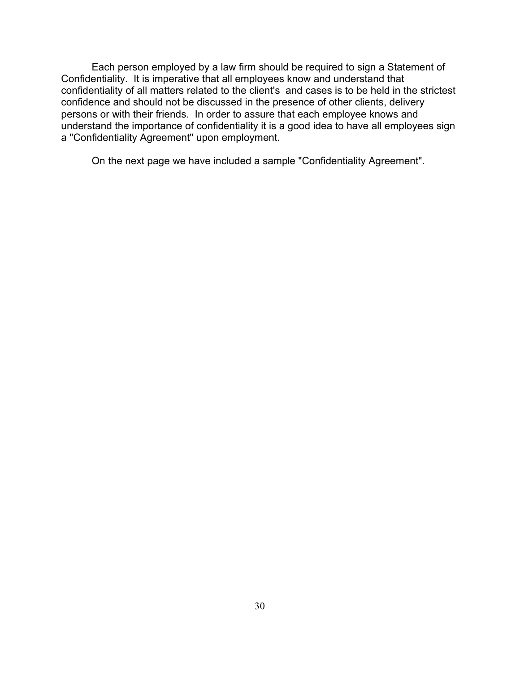Each person employed by a law firm should be required to sign a Statement of Confidentiality. It is imperative that all employees know and understand that confidentiality of all matters related to the client's and cases is to be held in the strictest confidence and should not be discussed in the presence of other clients, delivery persons or with their friends. In order to assure that each employee knows and understand the importance of confidentiality it is a good idea to have all employees sign a "Confidentiality Agreement" upon employment.

On the next page we have included a sample "Confidentiality Agreement".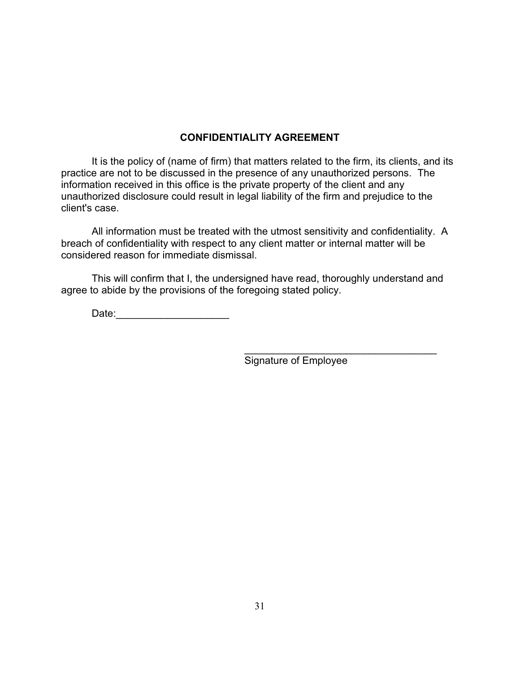# **CONFIDENTIALITY AGREEMENT**

 It is the policy of (name of firm) that matters related to the firm, its clients, and its practice are not to be discussed in the presence of any unauthorized persons. The information received in this office is the private property of the client and any unauthorized disclosure could result in legal liability of the firm and prejudice to the client's case.

All information must be treated with the utmost sensitivity and confidentiality. A breach of confidentiality with respect to any client matter or internal matter will be considered reason for immediate dismissal.

This will confirm that I, the undersigned have read, thoroughly understand and agree to abide by the provisions of the foregoing stated policy.

Date:\_\_\_\_\_\_\_\_\_\_\_\_\_\_\_\_\_\_\_\_\_\_\_\_\_\_\_

Signature of Employee

\_\_\_\_\_\_\_\_\_\_\_\_\_\_\_\_\_\_\_\_\_\_\_\_\_\_\_\_\_\_\_\_\_\_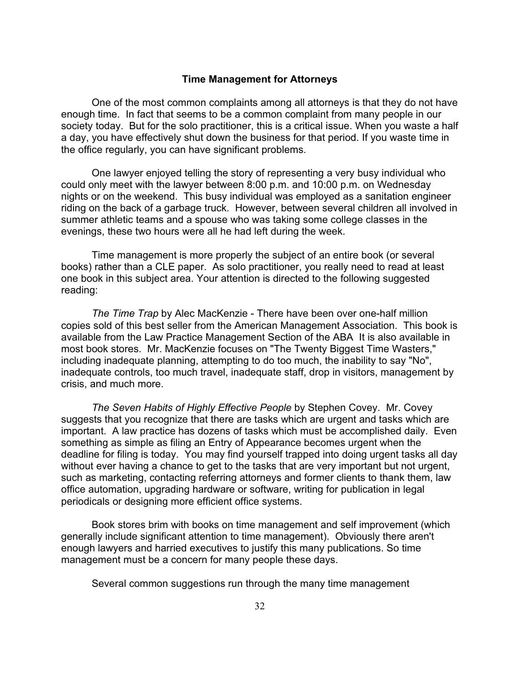#### **Time Management for Attorneys**

One of the most common complaints among all attorneys is that they do not have enough time. In fact that seems to be a common complaint from many people in our society today. But for the solo practitioner, this is a critical issue. When you waste a half a day, you have effectively shut down the business for that period. If you waste time in the office regularly, you can have significant problems.

One lawyer enjoyed telling the story of representing a very busy individual who could only meet with the lawyer between 8:00 p.m. and 10:00 p.m. on Wednesday nights or on the weekend. This busy individual was employed as a sanitation engineer riding on the back of a garbage truck. However, between several children all involved in summer athletic teams and a spouse who was taking some college classes in the evenings, these two hours were all he had left during the week.

Time management is more properly the subject of an entire book (or several books) rather than a CLE paper. As solo practitioner, you really need to read at least one book in this subject area. Your attention is directed to the following suggested reading:

*The Time Trap* by Alec MacKenzie - There have been over one-half million copies sold of this best seller from the American Management Association. This book is available from the Law Practice Management Section of the ABA It is also available in most book stores. Mr. MacKenzie focuses on "The Twenty Biggest Time Wasters," including inadequate planning, attempting to do too much, the inability to say "No", inadequate controls, too much travel, inadequate staff, drop in visitors, management by crisis, and much more.

*The Seven Habits of Highly Effective People* by Stephen Covey. Mr. Covey suggests that you recognize that there are tasks which are urgent and tasks which are important. A law practice has dozens of tasks which must be accomplished daily. Even something as simple as filing an Entry of Appearance becomes urgent when the deadline for filing is today. You may find yourself trapped into doing urgent tasks all day without ever having a chance to get to the tasks that are very important but not urgent, such as marketing, contacting referring attorneys and former clients to thank them, law office automation, upgrading hardware or software, writing for publication in legal periodicals or designing more efficient office systems.

Book stores brim with books on time management and self improvement (which generally include significant attention to time management). Obviously there aren't enough lawyers and harried executives to justify this many publications. So time management must be a concern for many people these days.

Several common suggestions run through the many time management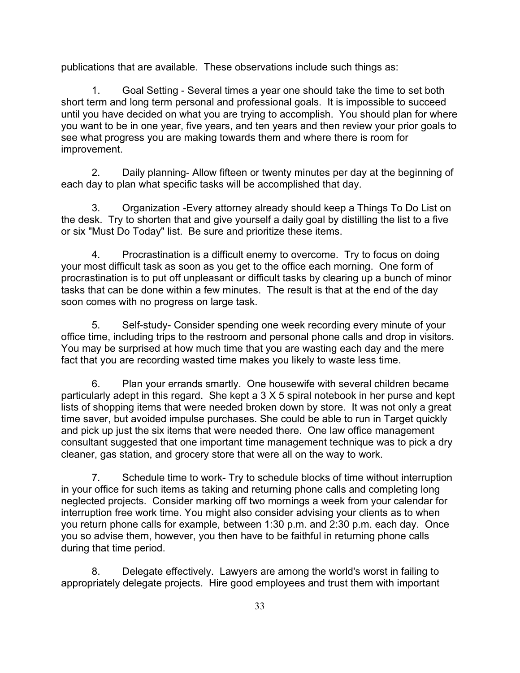publications that are available. These observations include such things as:

1. Goal Setting - Several times a year one should take the time to set both short term and long term personal and professional goals. It is impossible to succeed until you have decided on what you are trying to accomplish. You should plan for where you want to be in one year, five years, and ten years and then review your prior goals to see what progress you are making towards them and where there is room for improvement.

2. Daily planning- Allow fifteen or twenty minutes per day at the beginning of each day to plan what specific tasks will be accomplished that day.

3. Organization -Every attorney already should keep a Things To Do List on the desk. Try to shorten that and give yourself a daily goal by distilling the list to a five or six "Must Do Today" list. Be sure and prioritize these items.

4. Procrastination is a difficult enemy to overcome. Try to focus on doing your most difficult task as soon as you get to the office each morning. One form of procrastination is to put off unpleasant or difficult tasks by clearing up a bunch of minor tasks that can be done within a few minutes. The result is that at the end of the day soon comes with no progress on large task.

5. Self-study- Consider spending one week recording every minute of your office time, including trips to the restroom and personal phone calls and drop in visitors. You may be surprised at how much time that you are wasting each day and the mere fact that you are recording wasted time makes you likely to waste less time.

6. Plan your errands smartly. One housewife with several children became particularly adept in this regard. She kept a 3 X 5 spiral notebook in her purse and kept lists of shopping items that were needed broken down by store. It was not only a great time saver, but avoided impulse purchases. She could be able to run in Target quickly and pick up just the six items that were needed there. One law office management consultant suggested that one important time management technique was to pick a dry cleaner, gas station, and grocery store that were all on the way to work.

7. Schedule time to work- Try to schedule blocks of time without interruption in your office for such items as taking and returning phone calls and completing long neglected projects. Consider marking off two mornings a week from your calendar for interruption free work time. You might also consider advising your clients as to when you return phone calls for example, between 1:30 p.m. and 2:30 p.m. each day. Once you so advise them, however, you then have to be faithful in returning phone calls during that time period.

8. Delegate effectively. Lawyers are among the world's worst in failing to appropriately delegate projects. Hire good employees and trust them with important